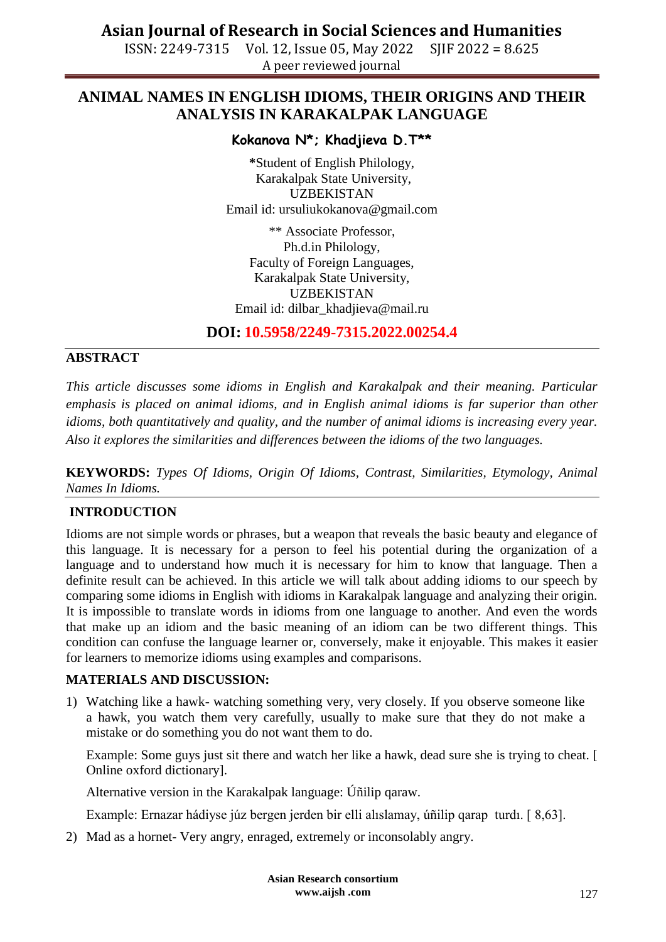ISSN: 2249-7315 Vol. 12, Issue 05, May 2022 SJIF 2022 = 8.625 A peer reviewed journal

## **ANIMAL NAMES IN ENGLISH IDIOMS, THEIR ORIGINS AND THEIR ANALYSIS IN KARAKALPAK LANGUAGE**

### **Kokanova N\*; Khadjieva D.T\*\***

**\***Student of English Philology, Karakalpak State University, UZBEKISTAN Email id: ursuliukokanova@gmail.com

\*\* Associate Professor, Ph.d.in Philology, Faculty of Foreign Languages, Karakalpak State University, UZBEKISTAN Email id: [dilbar\\_khadjieva@mail.ru](mailto:dilbar_khadjieva@mail.ru)

**DOI: 10.5958/2249-7315.2022.00254.4**

### **ABSTRACT**

*This article discusses some idioms in English and Karakalpak and their meaning. Particular emphasis is placed on animal idioms, and in English animal idioms is far superior than other idioms, both quantitatively and quality, and the number of animal idioms is increasing every year. Also it explores the similarities and differences between the idioms of the two languages.*

**KEYWORDS:** *Types Of Idioms, Origin Of Idioms, Contrast, Similarities, Etymology, Animal Names In Idioms.*

### **INTRODUCTION**

Idioms are not simple words or phrases, but a weapon that reveals the basic beauty and elegance of this language. It is necessary for a person to feel his potential during the organization of a language and to understand how much it is necessary for him to know that language. Then a definite result can be achieved. In this article we will talk about adding idioms to our speech by comparing some idioms in English with idioms in Karakalpak language and analyzing their origin. It is impossible to translate words in idioms from one language to another. And even the words that make up an idiom and the basic meaning of an idiom can be two different things. This condition can confuse the language learner or, conversely, make it enjoyable. This makes it easier for learners to memorize idioms using examples and comparisons.

#### **MATERIALS AND DISCUSSION:**

1) Watching like a hawk- watching something very, very closely. If you observe someone like a hawk, you watch them very carefully, usually to make sure that they do not make a mistake or do something you do not want them to do.

Example: Some guys just sit there and watch her like a hawk, dead sure she is trying to cheat. [ Online oxford dictionary].

Alternative version in the Karakalpak language: Úñilip qaraw.

Example: Ernazar hádiyse júz bergen jerden bir elli alıslamay, úñilip qarap turdı. [ 8,63].

2) Mad as a hornet- Very angry, enraged, extremely or inconsolably angry.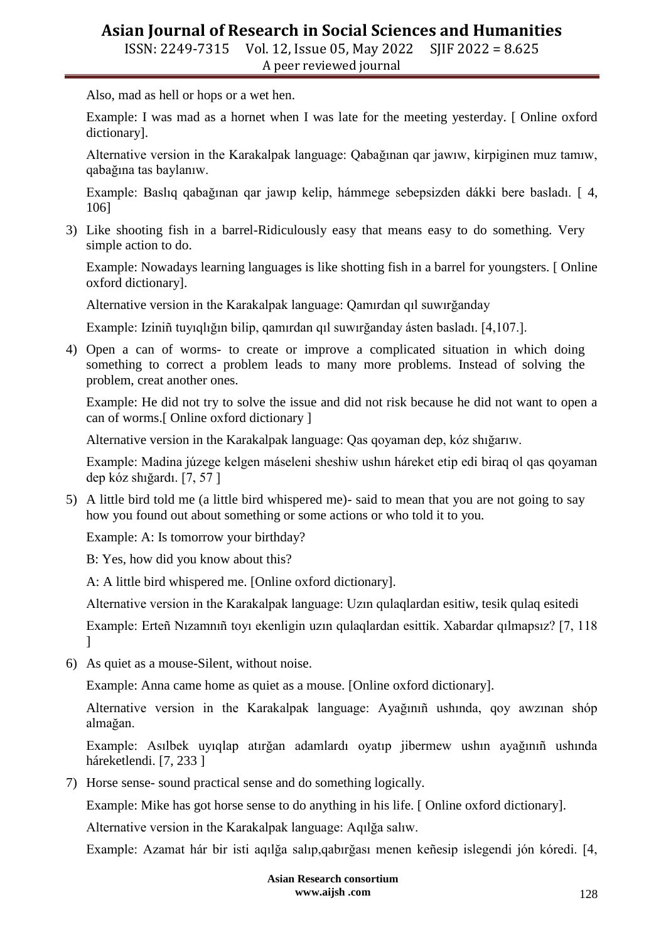ISSN: 2249-7315 Vol. 12, Issue 05, May 2022 SJIF 2022 = 8.625 A peer reviewed journal

Also, mad as hell or hops or a wet hen.

Example: I was mad as a hornet when I was late for the meeting yesterday. [ Online oxford dictionary].

Alternative version in the Karakalpak language: Qabağınan qar jawıw, kirpiginen muz tamıw, qabağına tas baylanıw.

Example: Baslıq qabağınan qar jawıp kelip, hámmege sebepsizden dákki bere basladı. [ 4, 106]

3) Like shooting fish in a barrel-Ridiculously easy that means easy to do something. Very simple action to do.

Example: Nowadays learning languages is like shotting fish in a barrel for youngsters. [ Online oxford dictionary].

Alternative version in the Karakalpak language: Qamırdan qıl suwırğanday

Example: Iziniñ tuyıqlığın bilip, qamırdan qıl suwırğanday ásten basladı. [4,107.].

4) Open a can of worms- to create or improve a complicated situation in which doing something to correct a problem leads to many more problems. Instead of solving the problem, creat another ones.

Example: He did not try to solve the issue and did not risk because he did not want to open a can of worms.[ Online oxford dictionary ]

Alternative version in the Karakalpak language: Qas qoyaman dep, kóz shığarıw.

Example: Madina júzege kelgen máseleni sheshiw ushın háreket etip edi biraq ol qas qoyaman dep kóz shığardı. [7, 57 ]

5) A little bird told me (a little bird whispered me)- said to mean that you are not going to say how you found out about something or some actions or who told it to you.

Example: A: Is tomorrow your birthday?

B: Yes, how did you know about this?

A: A little bird whispered me. [Online oxford dictionary].

Alternative version in the Karakalpak language: Uzın qulaqlardan esitiw, tesik qulaq esitedi

Example: Erteñ Nızamnıñ toyı ekenligin uzın qulaqlardan esittik. Xabardar qılmapsız? [7, 118 ]

6) As quiet as a mouse-Silent, without noise.

Example: Anna came home as quiet as a mouse. [Online oxford dictionary].

Alternative version in the Karakalpak language: Ayağınıñ ushında, qoy awzınan shóp almağan.

Example: Asılbek uyıqlap atırğan adamlardı oyatıp jibermew ushın ayağınıñ ushında háreketlendi. [7, 233]

7) Horse sense- sound practical sense and do something logically.

Example: Mike has got horse sense to do anything in his life. [ Online oxford dictionary].

Alternative version in the Karakalpak language: Aqılğa salıw.

Example: Azamat hár bir isti aqılğa salıp,qabırğası menen keñesip islegendi jón kóredi. [4,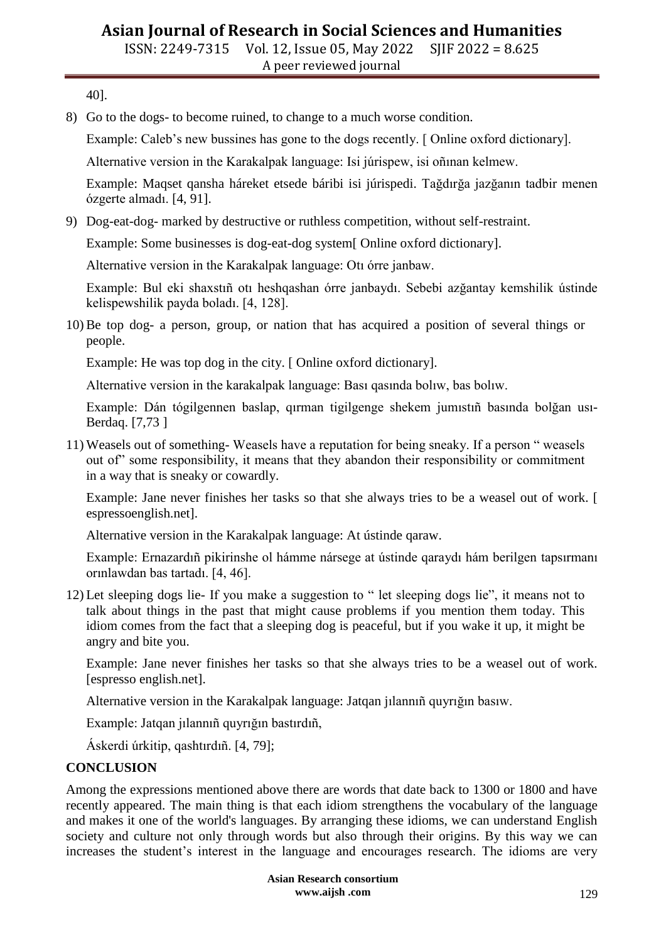ISSN: 2249-7315 Vol. 12, Issue 05, May 2022 SJIF 2022 = 8.625 A peer reviewed journal

40].

8) Go to the dogs- to become ruined, to change to a much worse condition.

Example: Caleb's new bussines has gone to the dogs recently. [ Online oxford dictionary].

Alternative version in the Karakalpak language: Isi júrispew, isi oñınan kelmew.

Example: Maqset qansha háreket etsede báribi isi júrispedi. Tağdırğa jazğanın tadbir menen ózgerte almadı. [4, 91].

9) Dog-eat-dog- marked by destructive or ruthless competition, without self-restraint.

Example: Some businesses is dog-eat-dog system[ Online oxford dictionary].

Alternative version in the Karakalpak language: Otı órre janbaw.

Example: Bul eki shaxstıñ otı heshqashan órre janbaydı. Sebebi azğantay kemshilik ústinde kelispewshilik payda boladı. [4, 128].

10) Be top dog- a person, group, or nation that has acquired a position of several things or people.

Example: He was top dog in the city. [ Online oxford dictionary].

Alternative version in the karakalpak language: Bası qasında bolıw, bas bolıw.

Example: Dán tógilgennen baslap, qırman tigilgenge shekem jumıstıñ basında bolğan usı-Berdaq. [7,73 ]

11) Weasels out of something- Weasels have a reputation for being sneaky. If a person " weasels out of" some responsibility, it means that they abandon their responsibility or commitment in a way that is sneaky or cowardly.

Example: Jane never finishes her tasks so that she always tries to be a weasel out of work. [ espressoenglish.net].

Alternative version in the Karakalpak language: At ústinde qaraw.

Example: Ernazardıñ pikirinshe ol hámme nársege at ústinde qaraydı hám berilgen tapsırmanı orınlawdan bas tartadı. [4, 46].

12) Let sleeping dogs lie- If you make a suggestion to " let sleeping dogs lie", it means not to talk about things in the past that might cause problems if you mention them today. This idiom comes from the fact that a sleeping dog is peaceful, but if you wake it up, it might be angry and bite you.

Example: Jane never finishes her tasks so that she always tries to be a weasel out of work. [espresso english.net].

Alternative version in the Karakalpak language: Jatqan jılannıñ quyrığın basıw.

Example: Jatqan jılannıñ quyrığın bastırdıñ,

Áskerdi úrkitip, qashtırdıñ. [4, 79];

#### **CONCLUSION**

Among the expressions mentioned above there are words that date back to 1300 or 1800 and have recently appeared. The main thing is that each idiom strengthens the vocabulary of the language and makes it one of the world's languages. By arranging these idioms, we can understand English society and culture not only through words but also through their origins. By this way we can increases the student's interest in the language and encourages research. The idioms are very